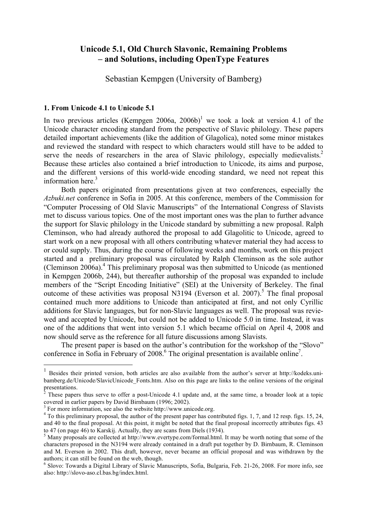# **Unicode 5.1, Old Church Slavonic, Remaining Problems – and Solutions, including OpenType Features**

Sebastian Kempgen (University of Bamberg)

### **1. From Unicode 4.1 to Unicode 5.1**

In two previous articles (Kempgen 2006a, 2006b)<sup>1</sup> we took a look at version 4.1 of the Unicode character encoding standard from the perspective of Slavic philology. These papers detailed important achievements (like the addition of Glagolica), noted some minor mistakes and reviewed the standard with respect to which characters would still have to be added to serve the needs of researchers in the area of Slavic philology, especially medievalists.<sup>2</sup> Because these articles also contained a brief introduction to Unicode, its aims and purpose, and the different versions of this world-wide encoding standard, we need not repeat this information here. $3$ 

Both papers originated from presentations given at two conferences, especially the *Azbuki.net* conference in Sofia in 2005. At this conference, members of the Commission for "Computer Processing of Old Slavic Manuscripts" of the International Congress of Slavists met to discuss various topics. One of the most important ones was the plan to further advance the support for Slavic philology in the Unicode standard by submitting a new proposal. Ralph Cleminson, who had already authored the proposal to add Glagolitic to Unicode, agreed to start work on a new proposal with all others contributing whatever material they had access to or could supply. Thus, during the course of following weeks and months, work on this project started and a preliminary proposal was circulated by Ralph Cleminson as the sole author (Cleminson 2006a).<sup>4</sup> This preliminary proposal was then submitted to Unicode (as mentioned in Kempgen 2006b, 244), but thereafter authorship of the proposal was expanded to include members of the "Script Encoding Initiative" (SEI) at the University of Berkeley. The final outcome of these activities was proposal N3194 (Everson et al. 2007).<sup>5</sup> The final proposal contained much more additions to Unicode than anticipated at first, and not only Cyrillic additions for Slavic languages, but for non-Slavic languages as well. The proposal was reviewed and accepted by Unicode, but could not be added to Unicode 5.0 in time. Instead, it was one of the additions that went into version 5.1 which became official on April 4, 2008 and now should serve as the reference for all future discussions among Slavists.

The present paper is based on the author's contribution for the workshop of the "Slovo" conference in Sofia in February of  $2008<sup>6</sup>$  The original presentation is available online<sup>7</sup>.

 $1$  Besides their printed version, both articles are also available from the author's server at http://kodeks.unibamberg.de/Unicode/SlavicUnicode Fonts.htm. Also on this page are links to the online versions of the original presentations.

 $2^2$  These papers thus serve to offer a post-Unicode 4.1 update and, at the same time, a broader look at a topic covered in earlier papers by David Birnbaum (1996; 2002).

<sup>3</sup> For more information, see also the website http://www.unicode.org.

<sup>&</sup>lt;sup>4</sup> To this preliminary proposal, the author of the present paper has contributed figs. 1, 7, and 12 resp. figs. 15, 24, and 40 to the final proposal. At this point, it might be noted that the final proposal incorrectly attributes figs. 43 to 47 (on page 46) to Karskij. Actually, they are scans from Diels (1934).

<sup>&</sup>lt;sup>5</sup> Many proposals are collected at http://www.evertype.com/formal.html. It may be worth noting that some of the characters proposed in the N3194 were already contained in a draft put together by D. Birnbaum, R. Cleminson and M. Everson in 2002. This draft, however, never became an official proposal and was withdrawn by the authors; it can still be found on the web, though.

<sup>6</sup> Slovo: Towards a Digital Library of Slavic Manuscripts, Sofia, Bulgaria, Feb. 21-26, 2008. For more info, see also: http://slovo-aso.cl.bas.bg/index.html.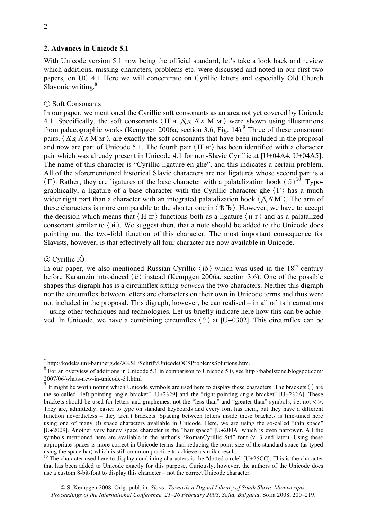### **2. Advances in Unicode 5.1**

With Unicode version 5.1 now being the official standard, let's take a look back and review which additions, missing characters, problems etc. were discussed and noted in our first two papers, on UC 4.1 Here we will concentrate on Cyrillic letters and especially Old Church Slavonic writing.<sup>8</sup>

#### ① Soft Consonants

In our paper, we mentioned the Cyrillic soft consonants as an area not yet covered by Unicode 4.1. Specifically, the soft consonants  $\langle$  H  $_{\rm H}$   $\Delta$ <sub>A</sub>  $\Lambda$ <sub>A</sub>  $\Lambda$ <sub>M</sub> $\rangle$  were shown using illustrations from palaeographic works (Kempgen 2006a, section 3.6, Fig. 14).<sup>9</sup> Three of these consonant pairs,  $\langle \Delta A \Lambda K \rangle$ , are exactly the soft consonants that have been included in the proposal and now are part of Unicode 5.1. The fourth pair  $\langle$  H  $\angle$  has been identified with a character pair which was already present in Unicode 4.1 for non-Slavic Cyrillic at [U+04A4, U+04A5]. The name of this character is "Cyrillic ligature en ghe", and this indicates a certain problem. All of the aforementioned historical Slavic characters are not ligatures whose second part is a  $\langle \Gamma \rangle$ . Rather, they are ligatures of the base character with a palatalization hook  $\langle \hat{\circ} \rangle^{10}$ . Typographically, a ligature of a base character with the Cyrillic character ghe  $\langle \Gamma \rangle$  has a much wider right part than a character with an integrated palatalization hook  $\langle \Delta \Lambda \mathbf{M} \rangle$ . The arm of these characters is more comparable to the shorter one in  $\langle$   $\mathbf{B} \mathbf{b} \rangle$ . However, we have to accept the decision which means that  $\langle$  H $\vert$  +  $\rangle$  functions both as a ligature  $\langle$  H $\vert$ - $\vert$  and as a palatalized consonant similar to  $\langle \hat{H} \rangle$ . We suggest then, that a note should be added to the Unicode docs pointing out the two-fold function of this character. The most important consequence for Slavists, however, is that effectively all four character are now available in Unicode.

#### ② Cyrillic IÔ

In our paper, we also mentioned Russian Cyrillic  $\langle i\hat{\sigma} \rangle$  which was used in the 18<sup>th</sup> century before Karamzin introduced  $\langle \ddot{e} \rangle$  instead (Kempgen 2006a, section 3.6). One of the possible shapes this digraph has is a circumflex sitting *between* the two characters. Neither this digraph nor the circumflex between letters are characters on their own in Unicode terms and thus were not included in the proposal. This digraph, however, be can realised – in all of its incarnations – using other techniques and technologies. Let us briefly indicate here how this can be achieved. In Unicode, we have a combining circumflex  $\langle \hat{\circ} \rangle$  at [U+0302]. This circumflex can be

<sup>-&</sup>lt;br>7  $^7$ http://kodeks.uni-bamberg.de/AKSL/Schrift/UnicodeOCSProblemsSolutions.htm.

<sup>&</sup>lt;sup>8</sup> For an overview of additions in Unicode 5.1 in comparison to Unicode 5.0, see http://babelstone.blogspot.com/ 2007/06/whats-new-in-unicode-51.html

<sup>&</sup>lt;sup>9</sup> It might be worth noting which Unicode symbols are used here to display these characters. The brackets  $\langle \ \rangle$  are the so-called "left-pointing angle bracket" [U+2329] and the "right-pointing angle bracket" [U+232A]. These brackets should be used for letters and graphemes, not the "less than" and "greater than" symbols, i.e. not < >. They are, admittedly, easier to type on standard keyboards and every font has them, but they have a different function nevertheless – they aren't brackets! Spacing between letters inside these brackets is fine-tuned here using one of many (!) space characters available in Unicode. Here, we are using the so-called "thin space" [U+2009]. Another very handy space character is the "hair space" [U+200A] which is even narrower. All the symbols mentioned here are available in the author's "RomanCyrillic Std" font (v. 3 and later). Using these appropriate spaces is more correct in Unicode terms than reducing the point-size of the standard space (as typed using the space bar) which is still common practice to achieve a similar result.

<sup>&</sup>lt;sup>10</sup> The character used here to display combining characters is the "dotted circle" [U+25CC]. This is the character that has been added to Unicode exactly for this purpose. Curiously, however, the authors of the Unicode docs use a custom 8-bit-font to display this character – not the correct Unicode character.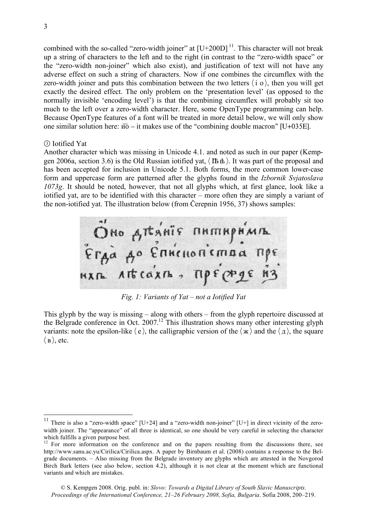combined with the so-called "zero-width joiner" at  $[U+200D]$ <sup>11</sup>. This character will not break up a string of characters to the left and to the right (in contrast to the "zero-width space" or the "zero-width non-joiner" which also exist), and justification of text will not have any adverse effect on such a string of characters. Now if one combines the circumflex with the zero-width joiner and puts this combination between the two letters  $\langle i \circ \rangle$ , then you will get exactly the desired effect. The only problem on the 'presentation level' (as opposed to the normally invisible 'encoding level') is that the combining circumflex will probably sit too much to the left over a zero-width character. Here, some OpenType programming can help. Because OpenType features of a font will be treated in more detail below, we will only show one similar solution here:  $\overline{0}$  – it makes use of the "combining double macron" [U+035E].

#### ③ Iotified Yat

Another character which was missing in Unicode 4.1. and noted as such in our paper (Kempgen 2006a, section 3.6) is the Old Russian iotified yat,  $\langle$  **IB**  $\uparrow$  b. It was part of the proposal and has been accepted for inclusion in Unicode 5.1. Both forms, the more common lower-case form and uppercase form are patterned after the glyphs found in the *Izbornik Svjatoslava 1073g*. It should be noted, however, that not all glyphs which, at first glance, look like a iotified yat, are to be identified with this character – more often they are simply a variant of the non-iotified yat. The illustration below (from Čerepnin 1956, 37) shows samples:

OHO ATEXNIE MAMANALA  $HX$   $\mu$   $\mu$   $\sigma$   $X$  $\mu$ ,  $\Pi$  $\sigma$   $\sigma$   $\sigma$ 

*Fig. 1: Variants of Yat – not a Iotified Yat*

This glyph by the way is missing – along with others – from the glyph repertoire discussed at the Belgrade conference in Oct. 2007.<sup>12</sup> This illustration shows many other interesting glyph variants: note the epsilon-like  $\langle e \rangle$ , the calligraphic version of the  $\langle \pi \rangle$  and the  $\langle \pi \rangle$ , the square  $\langle \mathbf{B} \rangle$ , etc.

<sup>&</sup>lt;sup>11</sup> There is also a "zero-width space" [U+24] and a "zero-width non-joiner" [U+] in direct vicinity of the zerowidth joiner. The "appearance" of all three is identical, so one should be very careful in selecting the character which fulfills a given purpose best.<br><sup>12</sup> For more information on the conference and on the papers resulting from the discussions there, see

http://www.sanu.ac.yu/Cirilica/Cirilica.aspx. A paper by Birnbaum et al. (2008) contains a response to the Belgrade documents. – Also missing from the Belgrade inventory are glyphs which are attested in the Novgorod Birch Bark letters (see also below, section 4.2), although it is not clear at the moment which are functional variants and which are mistakes.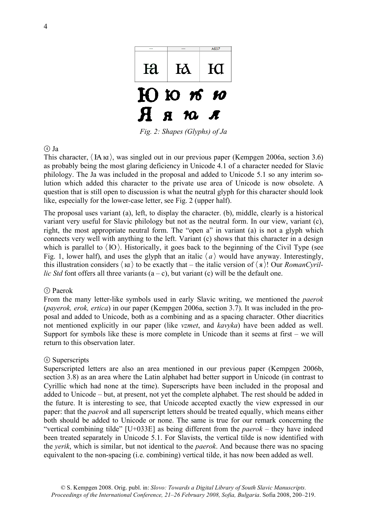

*Fig. 2: Shapes (Glyphs) of Ja*

## $\Omega$

This character,  $\langle A \nvert \mathbf{a} \rangle$ , was singled out in our previous paper (Kempgen 2006a, section 3.6) as probably being the most glaring deficiency in Unicode 4.1 of a character needed for Slavic philology. The Ja was included in the proposal and added to Unicode 5.1 so any interim solution which added this character to the private use area of Unicode is now obsolete. A question that is still open to discussion is what the neutral glyph for this character should look like, especially for the lower-case letter, see Fig. 2 (upper half).

The proposal uses variant (a), left, to display the character. (b), middle, clearly is a historical variant very useful for Slavic philology but not as the neutral form. In our view, variant (c), right, the most appropriate neutral form. The "open a" in variant (a) is not a glyph which connects very well with anything to the left. Variant (c) shows that this character in a design which is parallel to  $\langle$  IO $\rangle$ . Historically, it goes back to the beginning of the Civil Type (see Fig. 1, lower half), and uses the glyph that an italic  $\langle a \rangle$  would have anyway. Interestingly, this illustration considers  $\langle \mathbf{a} \rangle$  to be exactly that – the italic version of  $\langle \mathbf{a} \rangle$ ! Our *RomanCyrillic Std* font offers all three variants  $(a - c)$ , but variant  $(c)$  will be the default one.

## ⑤ Paerok

From the many letter-like symbols used in early Slavic writing, we mentioned the *paerok* (*payerok, erok, ertica*) in our paper (Kempgen 2006a, section 3.7). It was included in the proposal and added to Unicode, both as a combining and as a spacing character. Other diacritics not mentioned explicitly in our paper (like *vzmet*, and *kavyka*) have been added as well. Support for symbols like these is more complete in Unicode than it seems at first – we will return to this observation later.

# ⑥ Superscripts

Superscripted letters are also an area mentioned in our previous paper (Kempgen 2006b, section 3.8) as an area where the Latin alphabet had better support in Unicode (in contrast to Cyrillic which had none at the time). Superscripts have been included in the proposal and added to Unicode – but, at present, not yet the complete alphabet. The rest should be added in the future. It is interesting to see, that Unicode accepted exactly the view expressed in our paper: that the *paerok* and all superscript letters should be treated equally, which means either both should be added to Unicode or none. The same is true for our remark concerning the "vertical combining tilde" [U+033E] as being different from the *paerok* – they have indeed been treated separately in Unicode 5.1. For Slavists, the vertical tilde is now identified with the *yerik*, which is similar, but not identical to the *paerok*. And because there was no spacing equivalent to the non-spacing (i.e. combining) vertical tilde, it has now been added as well.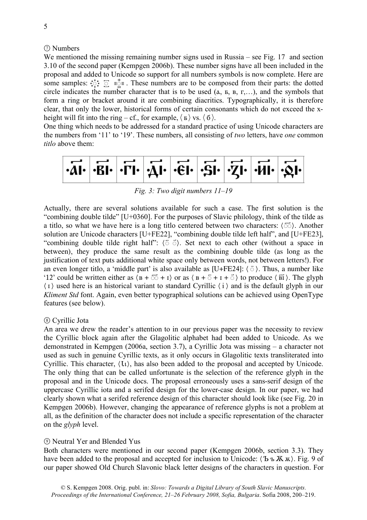### ⑦ Numbers

We mentioned the missing remaining number signs used in Russia – see Fig. 17 and section 3.10 of the second paper (Kempgen 2006b). These number signs have all been included in the proposal and added to Unicode so support for all numbers symbols is now complete. Here are some samples:  $\vec{z}$   $\vec{z}$   $\vec{z}$  =  $\vec{z}$  = . These numbers are to be composed from their parts: the dotted circle indicates the number character that is to be used  $(A, B, B, \Gamma, \ldots)$ , and the symbols that form a ring or bracket around it are combining diacritics. Typographically, it is therefore clear, that only the lower, historical forms of certain consonants which do not exceed the xheight will fit into the ring – cf., for example,  $\langle \mathbf{s} \rangle$  vs.  $\langle \mathbf{6} \rangle$ .

One thing which needs to be addressed for a standard practice of using Unicode characters are the numbers from '11' to '19'. These numbers, all consisting of *two* letters, have *one* common *titlo* above them:



*Fig. 3: Two digit numbers 11–19*

Actually, there are several solutions available for such a case. The first solution is the "combining double tilde" [U+0360]. For the purposes of Slavic philology, think of the tilde as a titlo, so what we have here is a long titlo centered between two characters:  $\langle \overline{\odot} \rangle$ . Another solution are Unicode characters [U+FE22], "combining double tilde left half", and [U+FE23], "combining double tilde right half":  $\langle 5 \overline{6} \rangle$ . Set next to each other (without a space in between), they produce the same result as the combining double tilde (as long as the justification of text puts additional white space only between words, not between letters!). For an even longer titlo, a 'middle part' is also available as [U+FE24]:  $\langle \overline{\circ} \rangle$ . Thus, a number like '12' could be written either as  $\langle \mathbf{B} + \overline{\odot} + \mathbf{I} \rangle$  or as  $\langle \mathbf{B} + \overline{\circ} + \mathbf{I} + \overline{\circ} \rangle$  to produce  $\langle \overline{\mathbf{B}} \rangle$ . The glyph  $\langle i \rangle$  used here is an historical variant to standard Cyrillic  $\langle i \rangle$  and is the default glyph in our *Kliment Std* font. Again, even better typographical solutions can be achieved using OpenType features (see below).

### ⑧ Cyrillic Jota

An area we drew the reader's attention to in our previous paper was the necessity to review the Cyrillic block again after the Glagolitic alphabet had been added to Unicode. As we demonstrated in Kempgen (2006a, section 3.7), a Cyrillic Jota was missing – a character not used as such in genuine Cyrillic texts, as it only occurs in Glagolitic texts transliterated into Cyrillic. This character,  $\langle \mathbf{L} \rangle$ , has also been added to the proposal and accepted by Unicode. The only thing that can be called unfortunate is the selection of the reference glyph in the proposal and in the Unicode docs. The proposal erroneously uses a sans-serif design of the uppercase Cyrillic iota and a serifed design for the lower-case design. In our paper, we had clearly shown what a serifed reference design of this character should look like (see Fig. 20 in Kempgen 2006b). However, changing the appearance of reference glyphs is not a problem at all, as the definition of the character does not include a specific representation of the character on the *glyph* level.

#### ⑨ Neutral Yer and Blended Yus

Both characters were mentioned in our second paper (Kempgen 2006b, section 3.3). They have been added to the proposal and accepted for inclusion to Unicode:  $(\mathbf{b} \cdot \mathbf{K} \times \mathbf{K})$ . Fig. 9 of our paper showed Old Church Slavonic black letter designs of the characters in question. For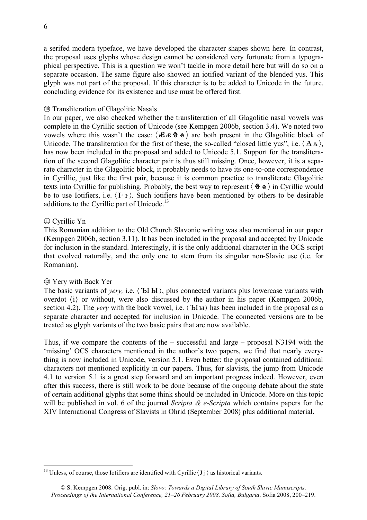a serifed modern typeface, we have developed the character shapes shown here. In contrast, the proposal uses glyphs whose design cannot be considered very fortunate from a typographical perspective. This is a question we won't tackle in more detail here but will do so on a separate occasion. The same figure also showed an iotified variant of the blended yus. This glyph was not part of the proposal. If this character is to be added to Unicode in the future, concluding evidence for its existence and use must be offered first.

### ⑩ Transliteration of Glagolitic Nasals

In our paper, we also checked whether the transliteration of all Glagolitic nasal vowels was complete in the Cyrillic section of Unicode (see Kempgen 2006b, section 3.4). We noted two vowels where this wasn't the case:  $\langle \mathbf{\epsilon} \cdot \mathbf{\epsilon} \cdot \mathbf{\epsilon} \cdot \mathbf{\epsilon} \rangle$  are both present in the Glagolitic block of Unicode. The transliteration for the first of these, the so-called "closed little yus", i.e.  $\langle A_A \rangle$ , has now been included in the proposal and added to Unicode 5.1. Support for the transliteration of the second Glagolitic character pair is thus still missing. Once, however, it is a separate character in the Glagolitic block, it probably needs to have its one-to-one correspondence in Cyrillic, just like the first pair, because it is common practice to transliterate Glagolitic texts into Cyrillic for publishing. Probably, the best way to represent  $\langle \mathbf{\Theta} \cdot \mathbf{\Phi} \rangle$  in Cyrillic would be to use Iotifiers, i.e.  $\langle$   $\mathbf{F}$   $\mathbf{F}$  $\rangle$ . Such iotifiers have been mentioned by others to be desirable additions to the Cyrillic part of Unicode.<sup>13</sup>

### ⑪ Cyrillic Yn

This Romanian addition to the Old Church Slavonic writing was also mentioned in our paper (Kempgen 2006b, section 3.11). It has been included in the proposal and accepted by Unicode for inclusion in the standard. Interestingly, it is the only additional character in the OCS script that evolved naturally, and the only one to stem from its singular non-Slavic use (i.e. for Romanian).

#### ⑫ Yery with Back Yer

The basic variants of *very*, i.e.  $\langle$  **LE** I, plus connected variants plus lowercase variants with overdot  $(i)$  or without, were also discussed by the author in his paper (Kempgen 2006b, section 4.2). The *very* with the back vowel, i.e.  $\langle$ **Ыы** $\rangle$  has been included in the proposal as a separate character and accepted for inclusion in Unicode. The connected versions are to be treated as glyph variants of the two basic pairs that are now available.

Thus, if we compare the contents of the – successful and large – proposal N3194 with the 'missing' OCS characters mentioned in the author's two papers, we find that nearly everything is now included in Unicode, version 5.1. Even better: the proposal contained additional characters not mentioned explicitly in our papers. Thus, for slavists, the jump from Unicode 4.1 to version 5.1 is a great step forward and an important progress indeed. However, even after this success, there is still work to be done because of the ongoing debate about the state of certain additional glyphs that some think should be included in Unicode. More on this topic will be published in vol. 6 of the journal *Scripta & e-Scripta* which contains papers for the XIV International Congress of Slavists in Ohrid (September 2008) plus additional material.

<sup>&</sup>lt;sup>13</sup> Unless, of course, those Iotifiers are identified with Cyrillic $\langle J j \rangle$  as historical variants.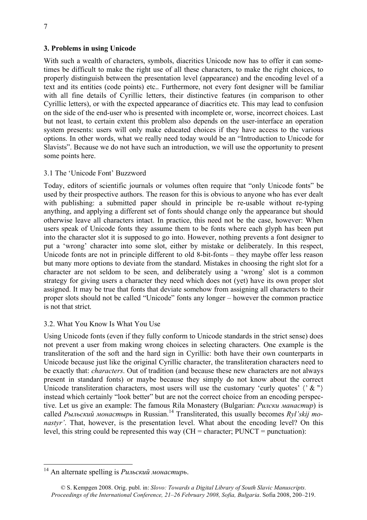## **3. Problems in using Unicode**

With such a wealth of characters, symbols, diacritics Unicode now has to offer it can sometimes be difficult to make the right use of all these characters, to make the right choices, to properly distinguish between the presentation level (appearance) and the encoding level of a text and its entities (code points) etc.. Furthermore, not every font designer will be familiar with all fine details of Cyrillic letters, their distinctive features (in comparison to other Cyrillic letters), or with the expected appearance of diacritics etc. This may lead to confusion on the side of the end-user who is presented with incomplete or, worse, incorrect choices. Last but not least, to certain extent this problem also depends on the user-interface an operation system presents: users will only make educated choices if they have access to the various options. In other words, what we really need today would be an "Introduction to Unicode for Slavists". Because we do not have such an introduction, we will use the opportunity to present some points here.

## 3.1 The 'Unicode Font' Buzzword

Today, editors of scientific journals or volumes often require that "only Unicode fonts" be used by their prospective authors. The reason for this is obvious to anyone who has ever dealt with publishing: a submitted paper should in principle be re-usable without re-typing anything, and applying a different set of fonts should change only the appearance but should otherwise leave all characters intact. In practice, this need not be the case, however: When users speak of Unicode fonts they assume them to be fonts where each glyph has been put into the character slot it is supposed to go into. However, nothing prevents a font designer to put a 'wrong' character into some slot, either by mistake or deliberately. In this respect, Unicode fonts are not in principle different to old 8-bit-fonts – they maybe offer less reason but many more options to deviate from the standard. Mistakes in choosing the right slot for a character are not seldom to be seen, and deliberately using a 'wrong' slot is a common strategy for giving users a character they need which does not (yet) have its own proper slot assigned. It may be true that fonts that deviate somehow from assigning all characters to their proper slots should not be called "Unicode" fonts any longer – however the common practice is not that strict.

# 3.2. What You Know Is What You Use

Using Unicode fonts (even if they fully conform to Unicode standards in the strict sense) does not prevent a user from making wrong choices in selecting characters. One example is the transliteration of the soft and the hard sign in Cyrillic: both have their own counterparts in Unicode because just like the original Cyrillic character, the transliteration characters need to be exactly that: *characters*. Out of tradition (and because these new characters are not always present in standard fonts) or maybe because they simply do not know about the correct Unicode transliteration characters, most users will use the customary 'curly quotes'  $\langle$ ' & " $\rangle$ instead which certainly "look better" but are not the correct choice from an encoding perspective. Let us give an example: The famous Rila Monastery (Bulgarian: *Рилски манастир*) is called *Рыльский монастырь* in Russian.14 Transliterated, this usually becomes *Ryl'skij monastyr'*. That, however, is the presentation level. What about the encoding level? On this level, this string could be represented this way  $(CH = character; PUNCT = punctuation)$ :

 <sup>14</sup> An alternate spelling is *Рильский монастирь*.

<sup>©</sup> S. Kempgen 2008. Orig. publ. in: *Slovo: Towards a Digital Library of South Slavic Manuscripts. Proceedings of the International Conference, 21–26 February 2008, Sofia, Bulgaria*. Sofia 2008, 200–219.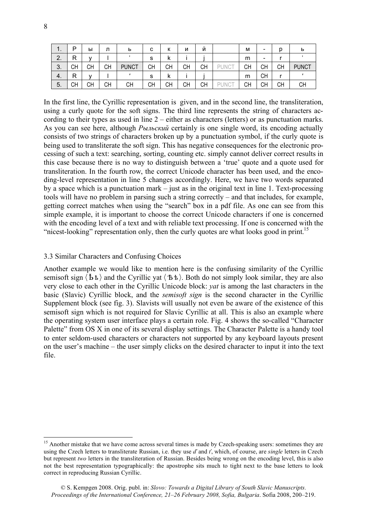| . . | Þ  | ы  | л  | ь            | с  | к  | и  | Й  |              | М  | -  |    | ь            |
|-----|----|----|----|--------------|----|----|----|----|--------------|----|----|----|--------------|
| 2.  | R  |    |    |              | s  | N  |    |    |              | m  | -  |    |              |
| 3.  | CН | CН | CН | <b>PUNCT</b> | CН | CН | CH | СH | <b>PUNCT</b> | СH | CН | CН | <b>PUNCT</b> |
| 4.  | R  |    |    |              | s  | N  |    |    |              | m  | CН |    |              |
| 5.  | СH | CН | CН | СH           | CН | CН | CH | СH | <b>PUNCT</b> | СH | CН | CH | <b>CH</b>    |

In the first line, the Cyrillic representation is given, and in the second line, the transliteration, using a curly quote for the soft signs. The third line represents the string of characters according to their types as used in line 2 – either as characters (letters) or as punctuation marks. As you can see here, although *Рыльский* certainly is one single word, its encoding actually consists of two strings of characters broken up by a punctuation symbol, if the curly quote is being used to transliterate the soft sign. This has negative consequences for the electronic processing of such a text: searching, sorting, counting etc. simply cannot deliver correct results in this case because there is no way to distinguish between a 'true' quote and a quote used for transliteration. In the fourth row, the correct Unicode character has been used, and the encoding-level representation in line 5 changes accordingly. Here, we have two words separated by a space which is a punctuation mark – just as in the original text in line 1. Text-processing tools will have no problem in parsing such a string correctly – and that includes, for example, getting correct matches when using the "search" box in a pdf file. As one can see from this simple example, it is important to choose the correct Unicode characters if one is concerned with the encoding level of a text and with reliable text processing. If one is concerned with the "nicest-looking" representation only, then the curly quotes are what looks good in print.<sup>15</sup>

### 3.3 Similar Characters and Confusing Choices

Another example we would like to mention here is the confusing similarity of the Cyrillic semisoft sign  $\langle \mathbf{b}_b \rangle$  and the Cyrillic yat  $\langle \mathbf{b}_b \rangle$ . Both do not simply look similar, they are also very close to each other in the Cyrillic Unicode block: *yat* is among the last characters in the basic (Slavic) Cyrillic block, and the *semisoft sign* is the second character in the Cyrillic Supplement block (see fig. 3). Slavists will usually not even be aware of the existence of this semisoft sign which is not required for Slavic Cyrillic at all. This is also an example where the operating system user interface plays a certain role. Fig. 4 shows the so-called "Character Palette" from OS X in one of its several display settings. The Character Palette is a handy tool to enter seldom-used characters or characters not supported by any keyboard layouts present on the user's machine – the user simply clicks on the desired character to input it into the text file.

<sup>&</sup>lt;sup>15</sup> Another mistake that we have come across several times is made by Czech-speaking users: sometimes they are using the Czech letters to transliterate Russian, i.e. they use *ď* and *ť*, which, of course, are *single* letters in Czech but represent *two* letters in the transliteration of Russian. Besides being wrong on the encoding level, this is also not the best representation typographically: the apostrophe sits much to tight next to the base letters to look correct in reproducing Russian Cyrillic.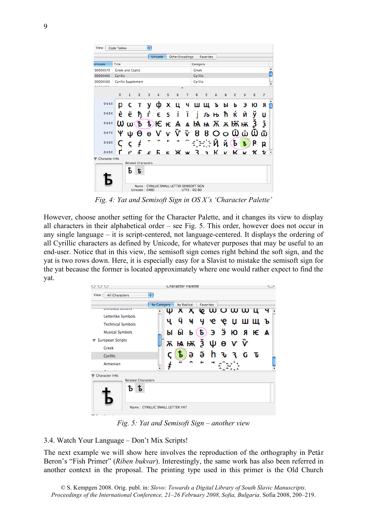

*Fig. 4: Yat and Semisoft Sign in OS X's 'Character Palette'*

However, choose another setting for the Character Palette, and it changes its view to display all characters in their alphabetical order – see Fig. 5. Тhis order, however does not occur in any single language – it is script-centered, not language-centered. It displays the ordering of all Cyrillic characters as defined by Unicode, for whatever purposes that may be useful to an end-user. Notice that in this view, the semisoft sign comes right behind the soft sign, and the yat is two rows down. Here, it is especially easy for a Slavist to mistake the semisoft sign for the yat because the former is located approximately where one would rather expect to find the yat.

|                                     |                                 |   |   | <b>Character Palette</b> |   |                      |              |   |  |
|-------------------------------------|---------------------------------|---|---|--------------------------|---|----------------------|--------------|---|--|
| <b>All Characters</b><br>View:      | ÷                               |   |   |                          |   |                      |              |   |  |
|                                     | by Category                     |   |   | by Radical               |   | <b>Favorites</b>     |              |   |  |
| LITUTU SUU LUTTUUTS                 |                                 | w |   | <b>x x @ ω o ω ω ц</b>   |   |                      |              |   |  |
| Letterlike Symbols                  |                                 |   |   |                          |   |                      |              |   |  |
| <b>Technical Symbols</b>            |                                 |   | ÿ | ч                        |   | чееџшщъ              |              |   |  |
| <b>Musical Symbols</b>              |                                 | ы | ы |                          |   | $b(b)$ 3 3 10 8 16 A |              |   |  |
| <b>European Scripts</b>             |                                 |   |   | ѫѩѭѯѱѳѵѷ                 |   |                      |              |   |  |
| Greek                               |                                 |   |   |                          |   |                      |              |   |  |
| Cyrillic                            |                                 |   | Ъ | ə                        | ä | h                    | <b>3</b> २ G | ு |  |
| Armenian                            |                                 |   |   |                          |   |                      |              |   |  |
| Character Info                      |                                 |   |   |                          |   |                      |              |   |  |
| <b>Related Characters</b><br>ъ<br>Ъ | Name: CYRILLIC SMALL LETTER YAT |   |   |                          |   |                      |              |   |  |

*Fig. 5: Yat and Semisoft Sign – another view*

# 3.4. Watch Your Language – Don't Mix Scripts!

The next example we will show here involves the reproduction of the orthography in Petăr Beron's "Fish Primer" (*Riben bukvar*). Interestingly, the same work has also been referred in another context in the proposal. The printing type used in this primer is the Old Church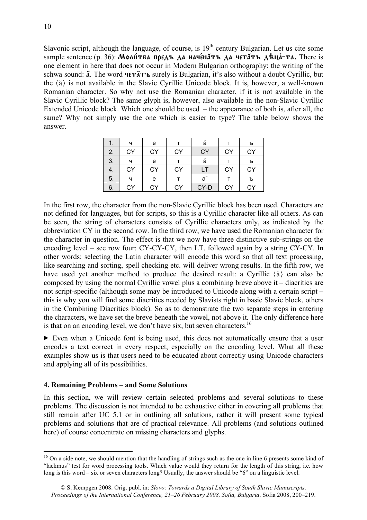Slavonic script, although the language, of course, is 19<sup>th</sup> century Bulgarian. Let us cite some sample sentence (р. 36): Моли́тва предъ да наче́натъ да чета́тъ дѣца́-та. There is one element in here that does not occur in Modern Bulgarian orthography: the writing of the schwa sound: **ӑ.** The word **чєтӑтъ** surely is Bulgarian, it's also without a doubt Cyrillic, but the  $\langle \check{a} \rangle$  is not available in the Slavic Cyrillic Unicode block. It is, however, a well-known Romanian character. So why not use the Romanian character, if it is not available in the Slavic Cyrillic block? The same glyph is, however, also available in the non-Slavic Cyrillic Extended Unicode block. Which one should be used – the appearance of both is, after all, the same? Why not simply use the one which is easier to type? The table below shows the answer.

| ι. | ч  | е  |    | ă              |    | ъ  |
|----|----|----|----|----------------|----|----|
| 2. | СY | CY | CY | CY             | CY | CY |
| 3. | u  | е  |    | ă              |    | ъ  |
| 4. | СY | CY | СY |                | CY | CY |
| 5. | u  | е  |    | a <sup>1</sup> |    | ъ  |
| 6. | СY | СY | СY | CY-D           | CY | CY |

In the first row, the character from the non-Slavic Cyrillic block has been used. Characters are not defined for languages, but for scripts, so this is a Cyrillic character like all others. As can be seen, the string of characters consists of Cyrillic characters only, as indicated by the abbreviation CY in the second row. In the third row, we have used the Romanian character for the character in question. The effect is that we now have three distinctive sub-strings on the encoding level – see row four: CY-CY-CY, then LT, followed again by a string CY-CY. In other words: selecting the Latin character will encode this word so that all text processing, like searching and sorting, spell checking etc. will deliver wrong results. In the fifth row, we have used yet another method to produce the desired result: a Cyrillic  $\langle \check{a} \rangle$  can also be composed by using the normal Cyrillic vowel plus a combining breve above it – diacritics are not script-specific (although some may be introduced to Unicode along with a certain script – this is why you will find some diacritics needed by Slavists right in basic Slavic block, others in the Combining Diacritics block). So as to demonstrate the two separate steps in entering the characters, we have set the breve beneath the vowel, not above it. The only difference here is that on an encoding level, we don't have six, but seven characters.<sup>16</sup>

▶ Even when a Unicode font is being used, this does not automatically ensure that a user encodes a text correct in every respect, especially on the encoding level. What all these examples show us is that users need to be educated about correctly using Unicode characters and applying all of its possibilities.

#### **4. Remaining Problems – and Some Solutions**

In this section, we will review certain selected problems and several solutions to these problems. The discussion is not intended to be exhaustive either in covering all problems that still remain after UC 5.1 or in outlining all solutions, rather it will present some typical problems and solutions that are of practical relevance. All problems (and solutions outlined here) of course concentrate on missing characters and glyphs.

<sup>&</sup>lt;sup>16</sup> On a side note, we should mention that the handling of strings such as the one in line 6 presents some kind of "lackmus" test for word processing tools. Which value would they return for the length of this string, i.e. how long is this word – six or seven characters long? Usually, the answer should be "6" on a linguistic level.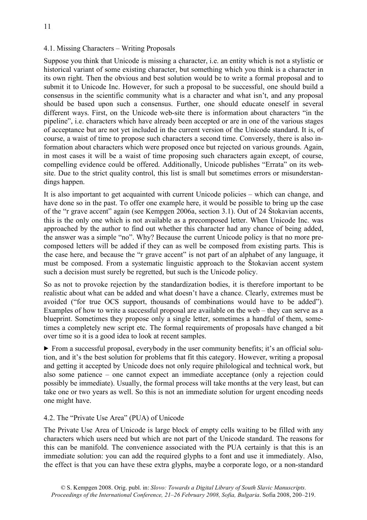## 4.1. Missing Characters – Writing Proposals

Suppose you think that Unicode is missing a character, i.e. an entity which is not a stylistic or historical variant of some existing character, but something which you think is a character in its own right. Then the obvious and best solution would be to write a formal proposal and to submit it to Unicode Inc. However, for such a proposal to be successful, one should build a consensus in the scientific community what is a character and what isn't, and any proposal should be based upon such a consensus. Further, one should educate oneself in several different ways. First, on the Unicode web-site there is information about characters "in the pipeline", i.e. characters which have already been accepted or are in one of the various stages of acceptance but are not yet included in the current version of the Unicode standard. It is, of course, a waist of time to propose such characters a second time. Conversely, there is also information about characters which were proposed once but rejected on various grounds. Again, in most cases it will be a waist of time proposing such characters again except, of course, compelling evidence could be offered. Additionally, Unicode publishes "Errata" on its website. Due to the strict quality control, this list is small but sometimes errors or misunderstandings happen.

It is also important to get acquainted with current Unicode policies – which can change, and have done so in the past. To offer one example here, it would be possible to bring up the case of the "r grave accent" again (see Kempgen 2006a, section 3.1). Out of 24 Štokavian accents, this is the only one which is not available as a precomposed letter. When Unicode Inc. was approached by the author to find out whether this character had any chance of being added, the answer was a simple "no". Why? Because the current Unicode policy is that no more precomposed letters will be added if they can as well be composed from existing parts. This is the case here, and because the "r grave accent" is not part of an alphabet of any language, it must be composed. From a systematic linguistic approach to the Štokavian accent system such a decision must surely be regretted, but such is the Unicode policy.

So as not to provoke rejection by the standardization bodies, it is therefore important to be realistic about what can be added and what doesn't have a chance. Clearly, extremes must be avoided ("for true OCS support, thousands of combinations would have to be added"). Examples of how to write a successful proposal are available on the web – they can serve as a blueprint. Sometimes they propose only a single letter, sometimes a handful of them, sometimes a completely new script etc. The formal requirements of proposals have changed a bit over time so it is a good idea to look at recent samples.

 $\triangleright$  From a successful proposal, everybody in the user community benefits; it's an official solution, and it's the best solution for problems that fit this category. However, writing a proposal and getting it accepted by Unicode does not only require philological and technical work, but also some patience – one cannot expect an immediate acceptance (only a rejection could possibly be immediate). Usually, the formal process will take months at the very least, but can take one or two years as well. So this is not an immediate solution for urgent encoding needs one might have.

## 4.2. The "Private Use Area" (PUA) of Unicode

The Private Use Area of Unicode is large block of empty cells waiting to be filled with any characters which users need but which are not part of the Unicode standard. The reasons for this can be manifold. The convenience associated with the PUA certainly is that this is an immediate solution: you can add the required glyphs to a font and use it immediately. Also, the effect is that you can have these extra glyphs, maybe a corporate logo, or a non-standard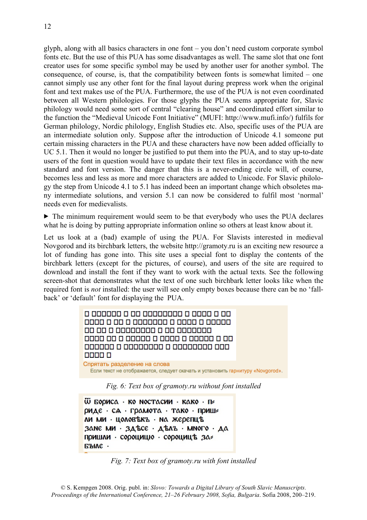glyph, along with all basics characters in one font – you don't need custom corporate symbol fonts etc. But the use of this PUA has some disadvantages as well. The same slot that one font creator uses for some specific symbol may be used by another user for another symbol. The consequence, of course, is, that the compatibility between fonts is somewhat limited – one cannot simply use any other font for the final layout during prepress work when the original font and text makes use of the PUA. Furthermore, the use of the PUA is not even coordinated between all Western philologies. For those glyphs the PUA seems appropriate for, Slavic philology would need some sort of central "clearing house" and coordinated effort similar to the function the "Medieval Unicode Font Initiative" (MUFI: http://www.mufi.info/) fulfils for German philology, Nordic philology, English Studies etc. Also, specific uses of the PUA are an intermediate solution only. Suppose after the introduction of Unicode 4.1 someone put certain missing characters in the PUA and these characters have now been added officially to UC 5.1. Then it would no longer be justified to put them into the PUA, and to stay up-to-date users of the font in question would have to update their text files in accordance with the new standard and font version. The danger that this is a never-ending circle will, of course, becomes less and less as more and more characters are added to Unicode. For Slavic philology the step from Unicode 4.1 to 5.1 has indeed been an important change which obsoletes many intermediate solutions, and version 5.1 can now be considered to fulfil most 'normal' needs even for medievalists.

▶ The minimum requirement would seem to be that everybody who uses the PUA declares what he is doing by putting appropriate information online so others at least know about it.

Let us look at a (bad) example of using the PUA. For Slavists interested in medieval Novgorod and its birchbark letters, the website http://gramoty.ru is an exciting new resource a lot of funding has gone into. This site uses a special font to display the contents of the birchbark letters (except for the pictures, of course), and users of the site are required to download and install the font if they want to work with the actual texts. See the following screen-shot that demonstrates what the text of one such birchbark letter looks like when the required font is *not* installed: the user will see only empty boxes because there can be no 'fallback' or 'default' font for displaying the PUA.

| 0 000000 0 00 00000000 0 0000 0 00                                                                             |  |
|----------------------------------------------------------------------------------------------------------------|--|
| 0000 0 00 0 0000000 0 0000 0 00000                                                                             |  |
| 00 00 0 00000000 0 00 0000000                                                                                  |  |
| 0000 00 0 00000 0 0000 0 00000 0 00                                                                            |  |
| 000000 0 00000000 0 00000000 000                                                                               |  |
| 0000 0                                                                                                         |  |
| Спрятать разделение на слова<br>Если текст не отображается, следует скачать и установить гарнитуру «Novgorod». |  |

*Fig. 6: Text box of gramoty.ru without font installed*

Ѿ БОРИСА • КО НОСТАСИИ • КАКО • ПЕ **РИДЕ · СА · ГРАМОТА · ТАКО · ПРИШЕ** ли ми · цоловъкъ · на жерепцъ ЗАНЕ МИ · ЗДЕСЕ · ДЕЛЪ · МНОГО · ДА пришли · сороцицю · сороцицъ за **БЪЛЕ**.

*Fig. 7: Text box of gramoty.ru with font installed*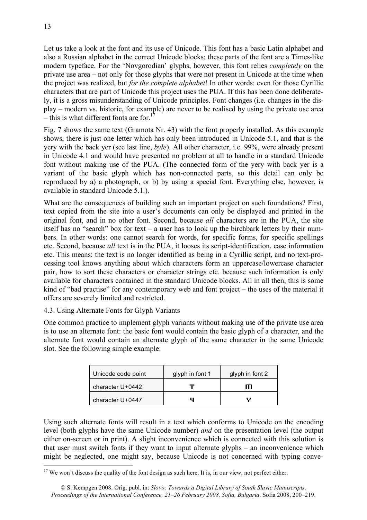Let us take a look at the font and its use of Unicode. This font has a basic Latin alphabet and also a Russian alphabet in the correct Unicode blocks; these parts of the font are a Times-like modern typeface. For the 'Novgorodian' glyphs, however, this font relies *completely* on the private use area – not only for those glyphs that were not present in Unicode at the time when the project was realized, but *for the complete alphabet*! In other words: even for those Cyrillic characters that are part of Unicode this project uses the PUA. If this has been done deliberately, it is a gross misunderstanding of Unicode principles. Font changes (i.e. changes in the display – modern vs. historic, for example) are never to be realised by using the private use area – this is what different fonts are for.<sup>1</sup>

Fig. 7 shows the same text (Gramota Nr. 43) with the font properly installed. As this example shows, there is just one letter which has only been introduced in Unicode 5.1, and that is the yery with the back yer (see last line, *byle*). All other character, i.e. 99%, were already present in Unicode 4.1 and would have presented no problem at all to handle in a standard Unicode font without making use of the PUA. (The connected form of the yery with back yer is a variant of the basic glyph which has non-connected parts, so this detail can only be reproduced by a) a photograph, or b) by using a special font. Everything else, however, is available in standard Unicode 5.1.).

What are the consequences of building such an important project on such foundations? First, text copied from the site into a user's documents can only be displayed and printed in the original font, and in no other font. Second, because *all* characters are in the PUA, the site itself has no "search" box for text – a user has to look up the birchbark letters by their numbers. In other words: one cannot search for words, for specific forms, for specific spellings etc. Second, because *all* text is in the PUA, it looses its script-identification, case information etc. This means: the text is no longer identified as being in a Cyrillic script, and no text-processing tool knows anything about which characters form an uppercase/lowercase character pair, how to sort these characters or character strings etc. because such information is only available for characters contained in the standard Unicode blocks. All in all then, this is some kind of "bad practise" for any contemporary web and font project – the uses of the material it offers are severely limited and restricted.

# 4.3. Using Alternate Fonts for Glyph Variants

One common practice to implement glyph variants without making use of the private use area is to use an alternate font: the basic font would contain the basic glyph of a character, and the alternate font would contain an alternate glyph of the same character in the same Unicode slot. See the following simple example:

| Unicode code point | glyph in font 1 | glyph in font 2 |
|--------------------|-----------------|-----------------|
| character U+0442   |                 |                 |
| character U+0447   |                 |                 |

Using such alternate fonts will result in a text which conforms to Unicode on the encoding level (both glyphs have the same Unicode number) *and* on the presentation level (the output either on-screen or in print). A slight inconvenience which is connected with this solution is that user must switch fonts if they want to input alternate glyphs – an inconvenience which might be neglected, one might say, because Unicode is not concerned with typing conve-

<sup>&</sup>lt;sup>17</sup> We won't discuss the quality of the font design as such here. It is, in our view, not perfect either.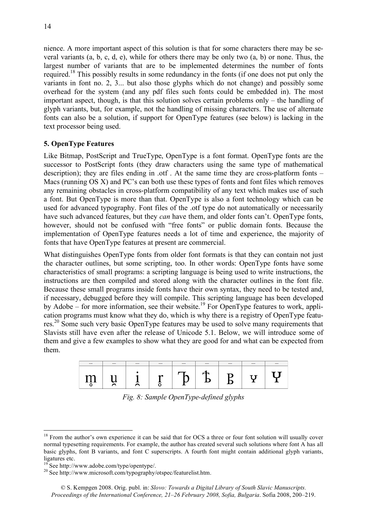nience. A more important aspect of this solution is that for some characters there may be several variants (a, b, c, d, e), while for others there may be only two (a, b) or none. Thus, the largest number of variants that are to be implemented determines the number of fonts required.18 This possibly results in some redundancy in the fonts (if one does not put only the variants in font no. 2, 3... but also those glyphs which do not change) and possibly some overhead for the system (and any pdf files such fonts could be embedded in). The most important aspect, though, is that this solution solves certain problems only – the handling of glyph variants, but, for example, not the handling of missing characters. The use of alternate fonts can also be a solution, if support for OpenType features (see below) is lacking in the text processor being used.

# **5. OpenType Features**

Like Bitmap, PostScript and TrueType, OpenType is a font format. OpenType fonts are the successor to PostScript fonts (they draw characters using the same type of mathematical description); they are files ending in .otf. At the same time they are cross-platform fonts – Macs (running OS X) and PC's can both use these types of fonts and font files which removes any remaining obstacles in cross-platform compatibility of any text which makes use of such a font. But OpenType is more than that. OpenType is also a font technology which can be used for advanced typography. Font files of the .otf type do not automatically or necessarily have such advanced features, but they *can* have them, and older fonts can't. OpenType fonts, however, should not be confused with "free fonts" or public domain fonts. Because the implementation of OpenType features needs a lot of time and experience, the majority of fonts that have OpenType features at present are commercial.

What distinguishes OpenType fonts from older font formats is that they can contain not just the character outlines, but some scripting, too. In other words: OpenType fonts have some characteristics of small programs: a scripting language is being used to write instructions, the instructions are then compiled and stored along with the character outlines in the font file. Because these small programs inside fonts have their own syntax, they need to be tested and, if necessary, debugged before they will compile. This scripting language has been developed by Adobe – for more information, see their website.<sup>19</sup> For OpenType features to work, application programs must know what they do, which is why there is a registry of OpenType features.20 Some such very basic OpenType features may be used to solve many requirements that Slavists still have even after the release of Unicode 5.1. Below, we will introduce some of them and give a few examples to show what they are good for and what can be expected from them.



*Fig. 8: Sample OpenType-defined glyphs*

<sup>&</sup>lt;sup>18</sup> From the author's own experience it can be said that for OCS a three or four font solution will usually cover normal typesetting requirements. For example, the author has created several such solutions where font A has all basic glyphs, font B variants, and font C superscripts. A fourth font might contain additional glyph variants, ligatures etc.

See http://www.adobe.com/type/opentype/.

<sup>&</sup>lt;sup>20</sup> See http://www.microsoft.com/typography/otspec/featurelist.htm.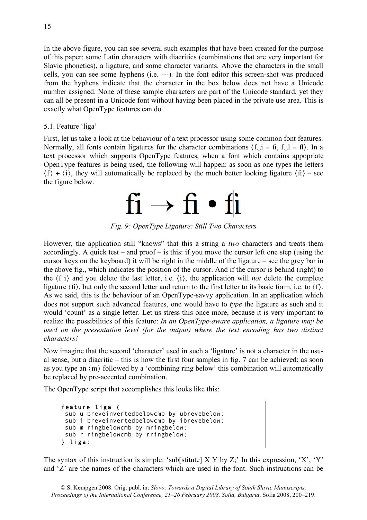In the above figure, you can see several such examples that have been created for the purpose of this paper: some Latin characters with diacritics (combinations that are very important for Slavic phonetics), a ligature, and some character variants. Above the characters in the small cells, you can see some hyphens (i.e. ---). In the font editor this screen-shot was produced from the hyphens indicate that the character in the box below does not have a Unicode number assigned. None of these sample characters are part of the Unicode standard, yet they can all be present in a Unicode font without having been placed in the private use area. This is exactly what OpenType features can do.

## 5.1. Feature 'liga'

First, let us take a look at the behaviour of a text processor using some common font features. Normally, all fonts contain ligatures for the character combinations  $\langle f \rangle$  i = fi, f  $\langle f \rangle$  = fl). In a text processor which supports OpenType features, when a font which contains appopriate OpenType features is being used, the following will happen: as soon as one types the letters  $\langle f \rangle$  +  $\langle i \rangle$ , they will automatically be replaced by the much better looking ligature  $\langle f \rangle$  – see the figure below.

$$
fi \rightarrow f\!i \cdot f\!j
$$

*Fig. 9: OpenType Ligature: Still Two Characters*

However, the application still "knows" that this a string a *two* characters and treats them accordingly. A quick test – and proof – is this: if you move the cursor left one step (using the cursor keys on the keyboard) it will be right in the middle of the ligature – see the grey bar in the above fig., which indicates the position of the cursor. And if the cursor is behind (right) to the  $\langle f \rangle$  and you delete the last letter, i.e.  $\langle i \rangle$ , the application will *not* delete the complete ligature  $\langle f_1 \rangle$ , but only the second letter and return to the first letter to its basic form, i.e. to  $\langle f \rangle$ . As we said, this is the behaviour of an OpenType-savvy application. In an application which does not support such advanced features, one would have to *type* the ligature as such and it would 'count' as a single letter. Let us stress this once more, because it is very important to realize the possibilities of this feature: *In an OpenType-aware application, a ligature may be used on the presentation level (for the output) where the text encoding has two distinct characters!*

Now imagine that the second 'character' used in such a 'ligature' is not a character in the usual sense, but a diacritic – this is how the first four samples in fig. 7 can be achieved: as soon as you type an  $\langle m \rangle$  followed by a 'combining ring below' this combination will automatically be replaced by pre-accented combination.

The OpenType script that accomplishes this looks like this:

```
feature liga { 
 sub u breveinvertedbelowcmb by ubrevebelow;
 sub i breveinvertedbelowcmb by ibrevebelow;
 sub m ringbelowcmb by mringbelow;
sub r ringbelowcmb by rringbelow;
} liga;
```
The syntax of this instruction is simple: 'sub[stitute]  $X Y$  by  $Z$ ;' In this expression, 'X', 'Y' and 'Z' are the names of the characters which are used in the font. Such instructions can be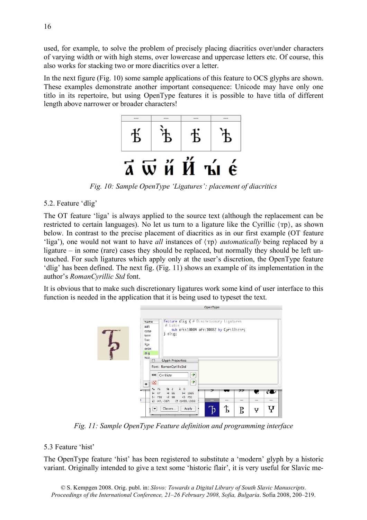used, for example, to solve the problem of precisely placing diacritics over/under characters of varying width or with high stems, over lowercase and uppercase letters etc. Of course, this also works for stacking two or more diacritics over a letter.

In the next figure (Fig. 10) some sample applications of this feature to OCS glyphs are shown. These examples demonstrate another important consequence: Unicode may have only one titlo in its repertoire, but using OpenType features it is possible to have titla of different length above narrower or broader characters!



*Fig. 10: Sample OpenType 'Ligatures': placement of diacritics*

### 5.2. Feature 'dlig'

The OT feature 'liga' is always applied to the source text (although the replacement can be restricted to certain languages). No let us turn to a ligature like the Cyrillic  $\langle \text{rp} \rangle$ , as shown below. In contrast to the precise placement of diacritics as in our first example (OT feature 'liga'), one would not want to have *all* instances of 〈 тр 〉 *automatically* being replaced by a ligature – in some (rare) cases they should be replaced, but normally they should be left untouched. For such ligatures which apply only at the user's discretion, the OpenType feature 'dlig' has been defined. The next fig. (Fig. 11) shows an example of its implementation in the author's *RomanCyrillic Std* font.

It is obvious that to make such discretionary ligatures work some kind of user interface to this function is needed in the application that it is being used to typeset the text.



*Fig. 11: Sample OpenType Feature definition and programming interface*

## 5.3 Feature 'hist'

The OpenType feature 'hist' has been registered to substitute a 'modern' glyph by a historic variant. Originally intended to give a text some 'historic flair', it is very useful for Slavic me-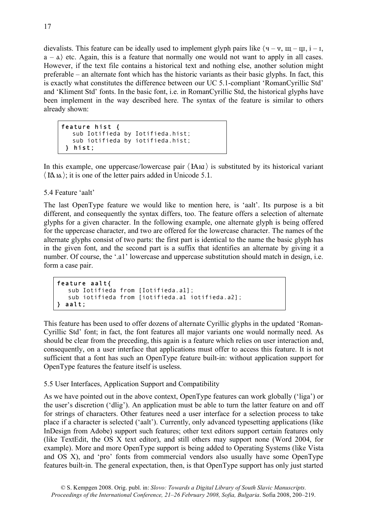dievalists. This feature can be ideally used to implement glyph pairs like  $($ ч – ч, щ – щ, і – і,  $a - \alpha$  etc. Again, this is a feature that normally one would not want to apply in all cases. However, if the text file contains a historical text and nothing else, another solution might preferable – an alternate font which has the historic variants as their basic glyphs. In fact, this is exactly what constitutes the difference between our UC 5.1-compliant 'RomanCyrillic Std' and 'Kliment Std' fonts. In the basic font, i.e. in RomanCyrillic Std, the historical glyphs have been implement in the way described here. The syntax of the feature is similar to others already shown:

```
feature hist { 
    sub Iotifieda by Iotifieda.hist;
    sub iotifieda by iotifieda.hist;
  } hist;
```
In this example, one uppercase/lowercase pair  $\langle A_H \rangle$  is substituted by its historical variant  $\langle \text{IA}_{\text{IA}} \rangle$ ; it is one of the letter pairs added in Unicode 5.1.

## 5.4 Feature 'aalt'

The last OpenType feature we would like to mention here, is 'aalt'. Its purpose is a bit different, and consequently the syntax differs, too. The feature offers a selection of alternate glyphs for a given character. In the following example, one alternate glyph is being offered for the uppercase character, and two are offered for the lowercase character. The names of the alternate glyphs consist of two parts: the first part is identical to the name the basic glyph has in the given font, and the second part is a suffix that identifies an alternate by giving it a number. Of course, the '.a1' lowercase and uppercase substitution should match in design, i.e. form a case pair.

```
feature aalt{ 
    sub Iotifieda from [Iotifieda.a1];
    sub iotifieda from [iotifieda.a1 iotifieda.a2];
} aalt;
```
This feature has been used to offer dozens of alternate Cyrillic glyphs in the updated 'Roman-Cyrillic Std' font; in fact, the font features all major variants one would normally need. As should be clear from the preceding, this again is a feature which relies on user interaction and, consequently, on a user interface that applications must offer to access this feature. It is not sufficient that a font has such an OpenType feature built-in: without application support for OpenType features the feature itself is useless.

## 5.5 User Interfaces, Application Support and Compatibility

As we have pointed out in the above context, OpenType features can work globally ('liga') or the user's discretion ('dlig'). An application must be able to turn the latter feature on and off for strings of characters. Other features need a user interface for a selection process to take place if a character is selected ('aalt'). Currently, only advanced typesetting applications (like InDesign from Adobe) support such features; other text editors support certain features only (like TextEdit, the OS X text editor), and still others may support none (Word 2004, for example). More and more OpenType support is being added to Operating Systems (like Vista and OS X), and 'pro' fonts from commercial vendors also usually have some OpenType features built-in. The general expectation, then, is that OpenType support has only just started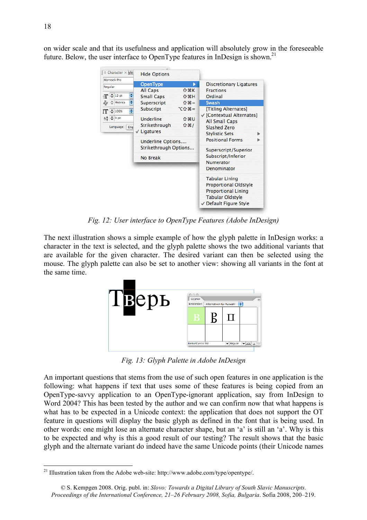on wider scale and that its usefulness and application will absolutely grow in the foreseeable future. Below, the user interface to OpenType features in InDesign is shown.<sup>21</sup>

| Character X yles                                                                               | <b>Hide Options</b>                                                                            |                                               |                                                                                                                                                                                                                                 |  |  |
|------------------------------------------------------------------------------------------------|------------------------------------------------------------------------------------------------|-----------------------------------------------|---------------------------------------------------------------------------------------------------------------------------------------------------------------------------------------------------------------------------------|--|--|
| <b>Warnock Pro</b><br>Regular<br>$-12$ pt<br>÷<br>$\mathbf{T}$<br>÷<br>$AV \triangleq$ Metrics | <b>OpenType</b><br>All Caps<br><b>Small Caps</b><br>Superscript                                | Þ<br><b>介出K</b><br><b>☆ 器H</b><br>$\hat{u} =$ | <b>Discretionary Ligatures</b><br><b>Fractions</b><br>Ordinal<br>Swash                                                                                                                                                          |  |  |
| ţ<br>$-100%$<br>ľТ<br>$A^{\underline{a}} \div 0$ pt<br>Language:<br>Eng                        | Subscript<br>Underline<br>Strikethrough<br>$\sqrt{\frac{1}{2}}$ Ligatures<br>Underline Options | 12 分 第 =<br><b>介出U</b><br>$0$ $#$             | [Titling Alternates]<br>√ [Contextual Alternates]<br><b>All Small Caps</b><br>Slashed Zero<br><b>Stylistic Sets</b><br><b>Positional Forms</b><br>Superscript/Superior<br>Subscript/Inferior<br><b>Numerator</b><br>Denominator |  |  |
|                                                                                                | Strikethrough Options<br>No Break                                                              |                                               |                                                                                                                                                                                                                                 |  |  |
|                                                                                                |                                                                                                |                                               | <b>Tabular Lining</b><br><b>Proportional Oldstyle</b><br><b>Proportional Lining</b><br><b>Tabular Oldstyle</b><br>√ Default Figure Style                                                                                        |  |  |

*Fig. 12: User interface to OpenType Features (Adobe InDesign)*

The next illustration shows a simple example of how the glyph palette in InDesign works: a character in the text is selected, and the glyph palette shows the two additional variants that are available for the given character. The desired variant can then be selected using the mouse. The glyph palette can also be set to another view: showing all variants in the font at the same time.



*Fig. 13: Glyph Palette in Adobe InDesign*

An important questions that stems from the use of such open features in one application is the following: what happens if text that uses some of these features is being copied from an OpenType-savvy application to an OpenType-ignorant application, say from InDesign to Word 2004? This has been tested by the author and we can confirm now that what happens is what has to be expected in a Unicode context: the application that does not support the OT feature in questions will display the basic glyph as defined in the font that is being used. In other words: one might lose an alternate character shape, but an 'a' is still an 'a'. Why is this to be expected and why is this a good result of our testing? The result shows that the basic glyph and the alternate variant do indeed have the same Unicode points (their Unicode names

 <sup>21</sup> Illustration taken from the Adobe web-site: http://www.adobe.com/type/opentype/.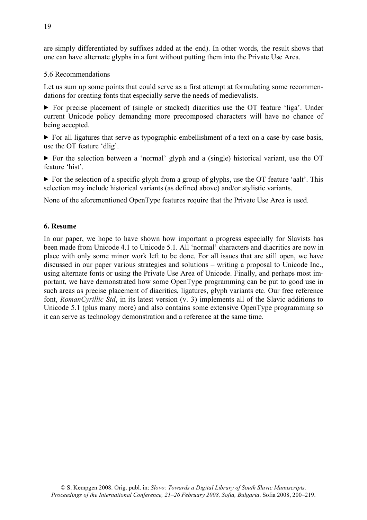are simply differentiated by suffixes added at the end). In other words, the result shows that one can have alternate glyphs in a font without putting them into the Private Use Area.

## 5.6 Recommendations

Let us sum up some points that could serve as a first attempt at formulating some recommendations for creating fonts that especially serve the needs of medievalists.

▶ For precise placement of (single or stacked) diacritics use the OT feature 'liga'. Under current Unicode policy demanding more precomposed characters will have no chance of being accepted.

▶ For all ligatures that serve as typographic embellishment of a text on a case-by-case basis, use the OT feature 'dlig'.

▶ For the selection between a 'normal' glyph and a (single) historical variant, use the OT feature 'hist'.

 $\triangleright$  For the selection of a specific glyph from a group of glyphs, use the OT feature 'aalt'. This selection may include historical variants (as defined above) and/or stylistic variants.

None of the aforementioned OpenType features require that the Private Use Area is used.

## **6. Resume**

In our paper, we hope to have shown how important a progress especially for Slavists has been made from Unicode 4.1 to Unicode 5.1. All 'normal' characters and diacritics are now in place with only some minor work left to be done. For all issues that are still open, we have discussed in our paper various strategies and solutions – writing a proposal to Unicode Inc., using alternate fonts or using the Private Use Area of Unicode. Finally, and perhaps most important, we have demonstrated how some OpenType programming can be put to good use in such areas as precise placement of diacritics, ligatures, glyph variants etc. Our free reference font, *RomanCyrillic Std*, in its latest version (v. 3) implements all of the Slavic additions to Unicode 5.1 (plus many more) and also contains some extensive OpenType programming so it can serve as technology demonstration and a reference at the same time.